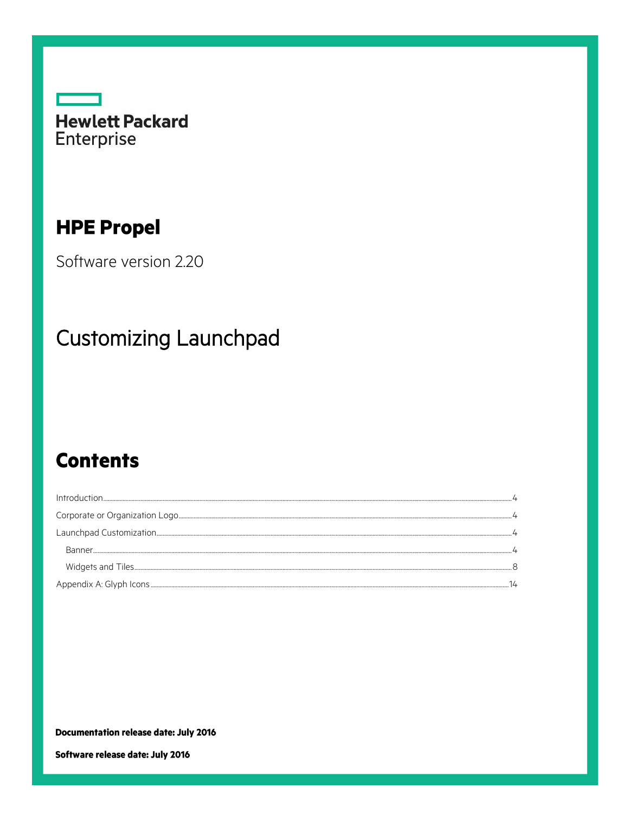

## **HPE Propel**

Software version 2.20

# **Customizing Launchpad**

## **Contents**

| Introduction. |  |
|---------------|--|
|               |  |
|               |  |
|               |  |
|               |  |
|               |  |

**Documentation release date: July 2016** 

Software release date: July 2016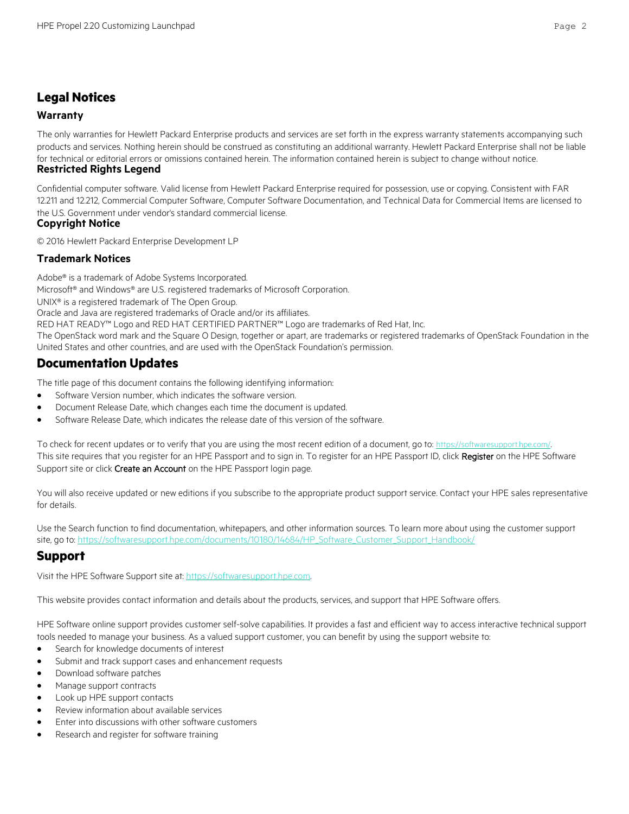## **Legal Notices**

#### **Warranty**

The only warranties for Hewlett Packard Enterprise products and services are set forth in the express warranty statements accompanying such products and services. Nothing herein should be construed as constituting an additional warranty. Hewlett Packard Enterprise shall not be liable for technical or editorial errors or omissions contained herein. The information contained herein is subject to change without notice.

#### **Restricted Rights Legend**

Confidential computer software. Valid license from Hewlett Packard Enterprise required for possession, use or copying. Consistent with FAR 12.211 and 12.212, Commercial Computer Software, Computer Software Documentation, and Technical Data for Commercial Items are licensed to the U.S. Government under vendor's standard commercial license.

#### **Copyright Notice**

© 2016 Hewlett Packard Enterprise Development LP

#### **Trademark Notices**

Adobe® is a trademark of Adobe Systems Incorporated.

Microsoft® and Windows® are U.S. registered trademarks of Microsoft Corporation.

UNIX® is a registered trademark of The Open Group.

Oracle and Java are registered trademarks of Oracle and/or its affiliates.

RED HAT READY™ Logo and RED HAT CERTIFIED PARTNER™ Logo are trademarks of Red Hat, Inc.

The OpenStack word mark and the Square O Design, together or apart, are trademarks or registered trademarks of OpenStack Foundation in the United States and other countries, and are used with the OpenStack Foundation's permission.

## **Documentation Updates**

The title page of this document contains the following identifying information:

- Software Version number, which indicates the software version.
- Document Release Date, which changes each time the document is updated.
- Software Release Date, which indicates the release date of this version of the software.

To check for recent updates or to verify that you are using the most recent edition of a document, go to: <https://softwaresupport.hpe.com/>. This site requires that you register for an HPE Passport and to sign in. To register for an HPE Passport ID, click Register on the HPE Software Support site or click Create an Account on the HPE Passport login page.

You will also receive updated or new editions if you subscribe to the appropriate product support service. Contact your HPE sales representative for details.

Use the Search function to find documentation, whitepapers, and other information sources. To learn more about using the customer support site, go to: [https://softwaresupport.hpe.com/documents/10180/14684/HP\\_Software\\_Customer\\_Support\\_Handbook/](https://softwaresupport.hpe.com/documents/10180/14684/HP_Software_Customer_Support_Handbook/)

### **Support**

Visit the HPE Software Support site at: [https://softwaresupport.hpe.com.](https://softwaresupport.hpe.com/)

This website provides contact information and details about the products, services, and support that HPE Software offers.

HPE Software online support provides customer self-solve capabilities. It provides a fast and efficient way to access interactive technical support tools needed to manage your business. As a valued support customer, you can benefit by using the support website to:

- **•** Search for knowledge documents of interest
- Submit and track support cases and enhancement requests
- Download software patches
- Manage support contracts
- Look up HPE support contacts
- Review information about available services
- Enter into discussions with other software customers
- Research and register for software training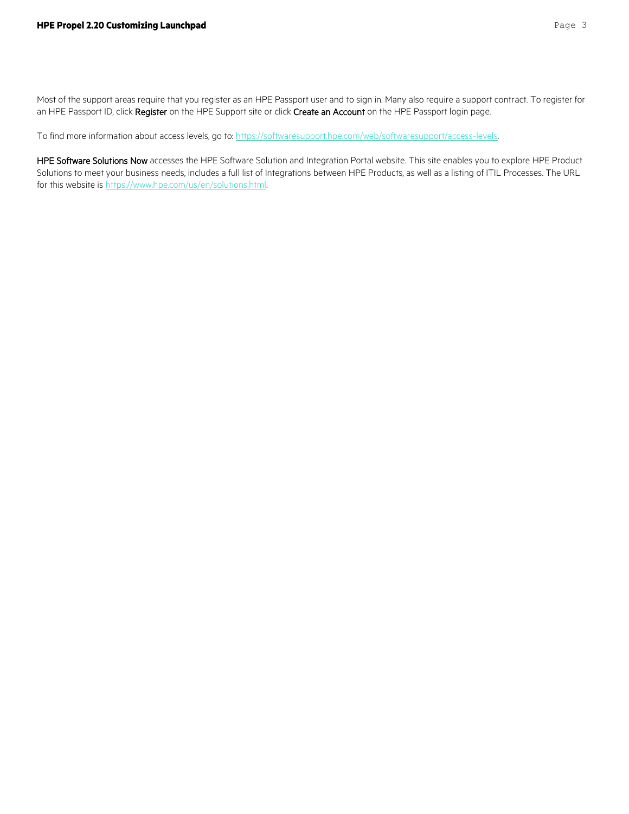Most of the support areas require that you register as an HPE Passport user and to sign in. Many also require a support contract. To register for an HPE Passport ID, click Register on the HPE Support site or click Create an Account on the HPE Passport login page.

To find more information about access levels, go to[: https://softwaresupport.hpe.com/web/softwaresupport/access-levels.](https://softwaresupport.hpe.com/web/softwaresupport/access-levels)

HPE Software Solutions Now accesses the HPE Software Solution and Integration Portal website. This site enables you to explore HPE Product Solutions to meet your business needs, includes a full list of Integrations between HPE Products, as well as a listing of ITIL Processes. The URL for this website is [https://www.hpe.com/us/en/solutions.html.](https://www.hpe.com/us/en/solutions.html)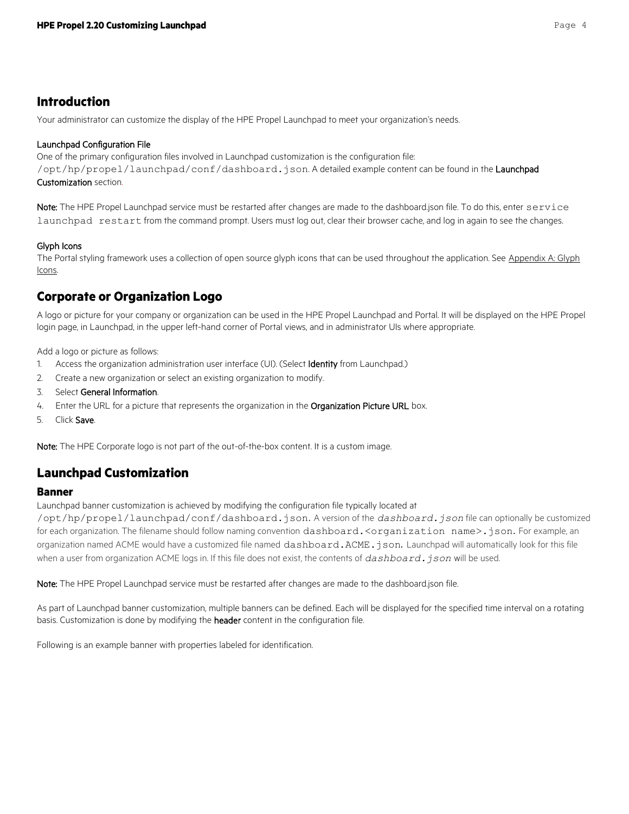## <span id="page-3-0"></span>**Introduction**

Your administrator can customize the display of the HPE Propel Launchpad to meet your organization's needs.

#### Launchpad Configuration File

One of the primary configuration files involved in Launchpad customization is the configuration file: /opt/hp/propel/launchpad/conf/dashboard.json. A detailed example content can be found in the Launchpad [Customization](#page-3-2) section.

Note: The HPE Propel Launchpad service must be restarted after changes are made to the dashboard.json file. To do this, enter service launchpad restart from the command prompt. Users must log out, clear their browser cache, and log in again to see the changes.

#### Glyph Icons

The Portal styling framework uses a collection of open source glyph icons that can be used throughout the application. See Appendix A: Glyph Icons.

## <span id="page-3-1"></span>**Corporate or Organization Logo**

A logo or picture for your company or organization can be used in the HPE Propel Launchpad and Portal. It will be displayed on the HPE Propel login page, in Launchpad, in the upper left-hand corner of Portal views, and in administrator UIs where appropriate.

Add a logo or picture as follows:

- 1. Access the organization administration user interface (UI). (Select **Identity** from Launchpad.)
- 2. Create a new organization or select an existing organization to modify.
- 3. Select General Information.
- 4. Enter the URL for a picture that represents the organization in the Organization Picture URL box.
- 5. Click Save.

Note: The HPE Corporate logo is not part of the out-of-the-box content. It is a custom image.

## <span id="page-3-2"></span>**Launchpad Customization**

#### <span id="page-3-3"></span>**Banner**

Launchpad banner customization is achieved by modifying the configuration file typically located at

/opt/hp/propel/launchpad/conf/dashboard.json. A version of the *dashboard.json* file can optionally be customized for each organization. The filename should follow naming convention dashboard. <organization name>.json. For example, an organization named ACME would have a customized file named dashboard.ACME.json*.* Launchpad will automatically look for this file when a user from organization ACME logs in. If this file does not exist, the contents of *dashboard. json* will be used.

Note: The HPE Propel Launchpad service must be restarted after changes are made to the dashboard.json file.

As part of Launchpad banner customization, multiple banners can be defined. Each will be displayed for the specified time interval on a rotating basis. Customization is done by modifying the header content in the configuration file.

Following is an example banner with properties labeled for identification.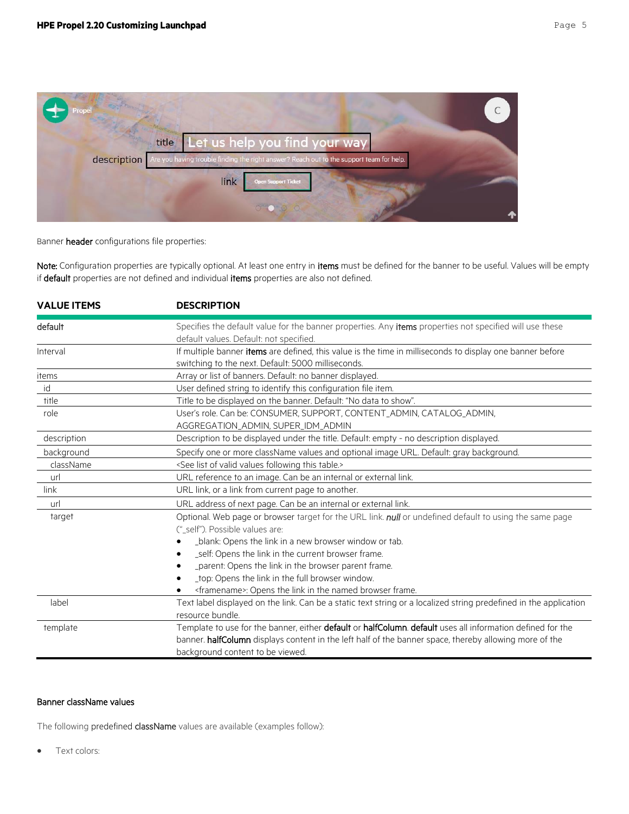

Banner header configurations file properties:

Note: Configuration properties are typically optional. At least one entry in items must be defined for the banner to be useful. Values will be empty if default properties are not defined and individual items properties are also not defined.

| <b>VALUE ITEMS</b> | <b>DESCRIPTION</b>                                                                                                                                                                                                                                       |
|--------------------|----------------------------------------------------------------------------------------------------------------------------------------------------------------------------------------------------------------------------------------------------------|
| default            | Specifies the default value for the banner properties. Any items properties not specified will use these<br>default values. Default: not specified.                                                                                                      |
| Interval           | If multiple banner items are defined, this value is the time in milliseconds to display one banner before<br>switching to the next. Default: 5000 milliseconds.                                                                                          |
| items              | Array or list of banners. Default: no banner displayed.                                                                                                                                                                                                  |
| id                 | User defined string to identify this configuration file item.                                                                                                                                                                                            |
| title              | Title to be displayed on the banner. Default: "No data to show".                                                                                                                                                                                         |
| role               | User's role. Can be: CONSUMER, SUPPORT, CONTENT_ADMIN, CATALOG_ADMIN,<br>AGGREGATION ADMIN, SUPER IDM ADMIN                                                                                                                                              |
| description        | Description to be displayed under the title. Default: empty - no description displayed.                                                                                                                                                                  |
| background         | Specify one or more className values and optional image URL. Default: gray background.                                                                                                                                                                   |
| className          | <see following="" list="" of="" table.="" this="" valid="" values=""></see>                                                                                                                                                                              |
| url                | URL reference to an image. Can be an internal or external link.                                                                                                                                                                                          |
| link               | URL link, or a link from current page to another.                                                                                                                                                                                                        |
| url                | URL address of next page. Can be an internal or external link.                                                                                                                                                                                           |
| target             | Optional. Web page or browser target for the URL link. null or undefined default to using the same page<br>(" self"). Possible values are:                                                                                                               |
|                    | _blank: Opens the link in a new browser window or tab.                                                                                                                                                                                                   |
|                    | _self: Opens the link in the current browser frame.                                                                                                                                                                                                      |
|                    | _parent: Opens the link in the browser parent frame.                                                                                                                                                                                                     |
|                    | _top: Opens the link in the full browser window.                                                                                                                                                                                                         |
|                    | <framename>: Opens the link in the named browser frame.</framename>                                                                                                                                                                                      |
| label              | Text label displayed on the link. Can be a static text string or a localized string predefined in the application<br>resource bundle.                                                                                                                    |
| template           | Template to use for the banner, either default or halfColumn. default uses all information defined for the<br>banner. halfColumn displays content in the left half of the banner space, thereby allowing more of the<br>background content to be viewed. |

#### Banner className values

The following predefined className values are available (examples follow):

**•** Text colors: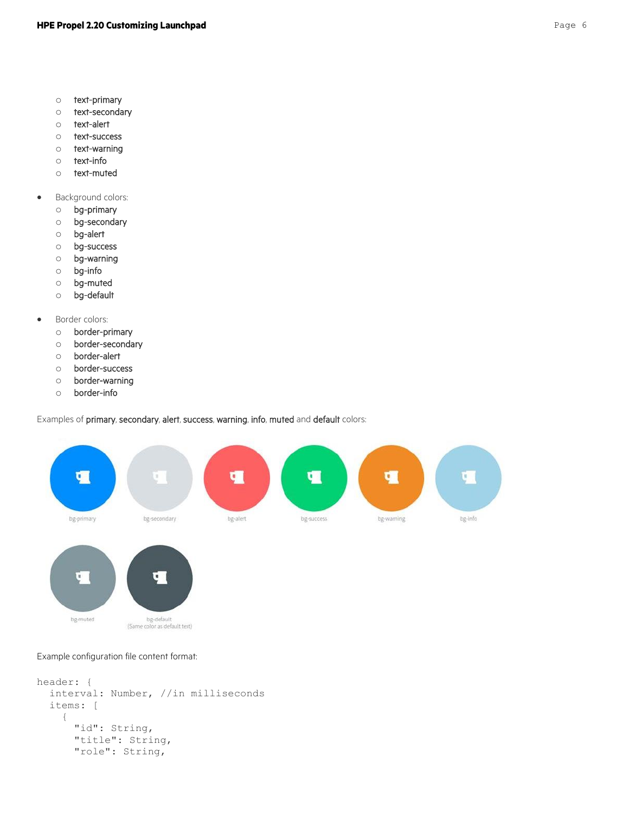- o text-primary
- o text-secondary
- o text-alert
- o text-success
- o text-warning
- o text-info
- o text-muted
- Background colors:
	- o bg-primary
	- o bg-secondary
	- o bg-alert
	- o bg-success
	- o bg-warning
	- o bg-info
	- o bg-muted
	- o bg-default
- **•** Border colors:
	- o border-primary
	- o border-secondary
	- o border-alert
	- o border-success
	- o border-warning
	- o border-info

Examples of primary, secondary, alert, success, warning, info, muted and default colors:





#### Example configuration file content format:

```
header: {
   interval: Number, //in milliseconds
   items: [
     {
       "id": String,
       "title": String,
       "role": String,
```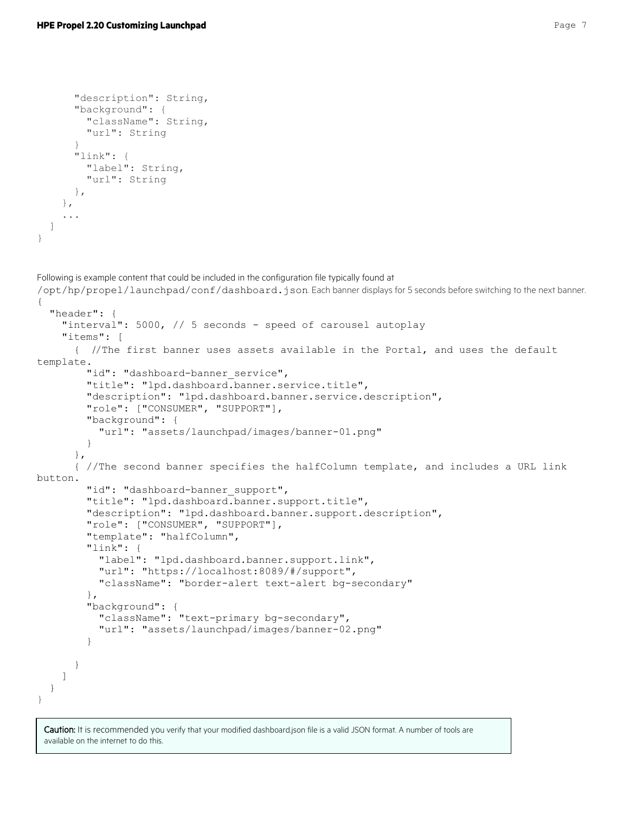```
 "description": String,
       "background": {
         "className": String,
         "url": String
 }
       "link": {
         "label": String,
         "url": String 
       },
     },
     ...
  ]
}
```
Following is example content that could be included in the configuration file typically found at /opt/hp/propel/launchpad/conf/dashboard.json. Each banner displays for 5 seconds before switching to the next banner. { "header": { "interval": 5000, // 5 seconds - speed of carousel autoplay "items": [ { //The first banner uses assets available in the Portal, and uses the default template. "id": "dashboard-banner service", "title": "lpd.dashboard.banner.service.title", "description": "lpd.dashboard.banner.service.description", "role": ["CONSUMER", "SUPPORT"], "background": { "url": "assets/launchpad/images/banner-01.png" } }, { //The second banner specifies the halfColumn template, and includes a URL link button. "id": "dashboard-banner support", "title": "lpd.dashboard.banner.support.title", "description": "lpd.dashboard.banner.support.description", "role": ["CONSUMER", "SUPPORT"], "template": "halfColumn", "link": { "label": "lpd.dashboard.banner.support.link", "url": "https://localhost:8089/#/support", "className": "border-alert text-alert bg-secondary" }, "background": { "className": "text-primary bg-secondary", "url": "assets/launchpad/images/banner-02.png" } } ] } }

Caution: It is recommended you verify that your modified dashboard.json file is a valid JSON format. A number of tools are available on the internet to do this.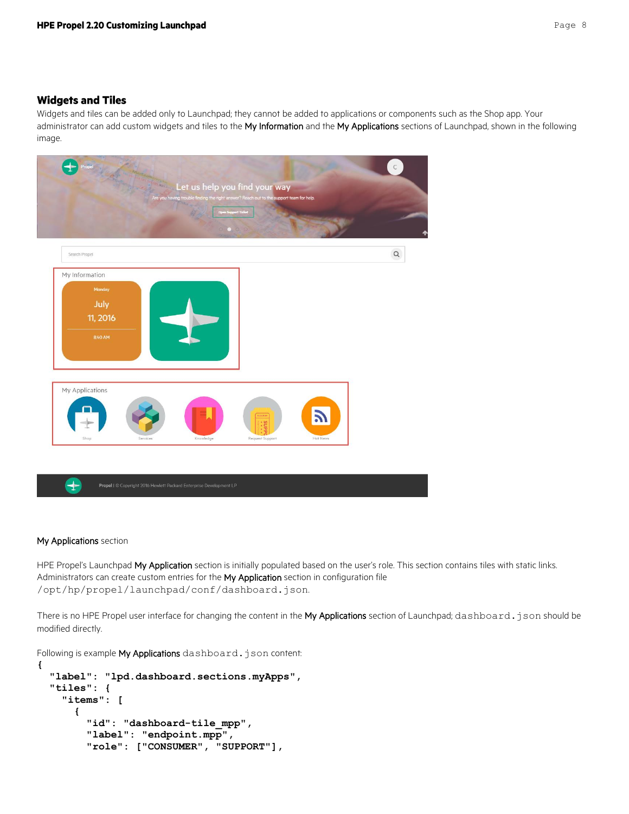#### <span id="page-7-0"></span>**Widgets and Tiles**

Widgets and tiles can be added only to Launchpad; they cannot be added to applications or components such as the Shop app. Your administrator can add custom widgets and tiles to the My Information and the My Applications sections of Launchpad, shown in the following image.



#### My Applications section

HPE Propel's Launchpad My Application section is initially populated based on the user's role. This section contains tiles with static links. Administrators can create custom entries for the My Application section in configuration file /opt/hp/propel/launchpad/conf/dashboard.json.

There is no HPE Propel user interface for changing the content in the My Applications section of Launchpad; dashboard.json should be modified directly.

Following is example My Applications dashboard.json content:

```
{
   "label": "lpd.dashboard.sections.myApps",
   "tiles": {
     "items": [
       {
         "id": "dashboard-tile_mpp",
         "label": "endpoint.mpp",
         "role": ["CONSUMER", "SUPPORT"],
```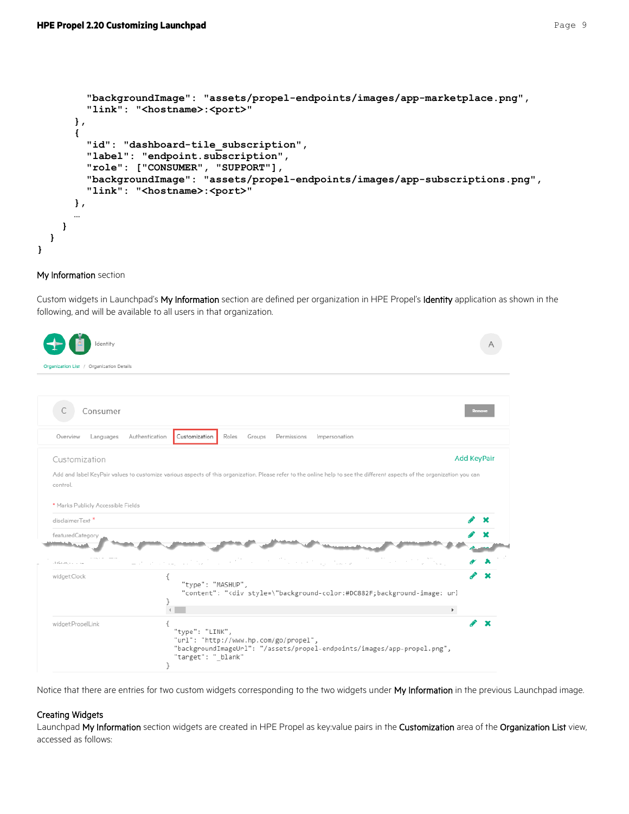```
 "backgroundImage": "assets/propel-endpoints/images/app-marketplace.png",
         "link": "<hostname>:<port>"
       },
       {
         "id": "dashboard-tile_subscription",
         "label": "endpoint.subscription",
         "role": ["CONSUMER", "SUPPORT"],
         "backgroundImage": "assets/propel-endpoints/images/app-subscriptions.png",
         "link": "<hostname>:<port>"
       },
 …
     }
  }
}
```
#### My Information section

Custom widgets in Launchpad's My Information section are defined per organization in HPE Propel's Identity application as shown in the following, and will be available to all users in that organization.

| dentity                                  |                                                                                                                                                                          |                    |
|------------------------------------------|--------------------------------------------------------------------------------------------------------------------------------------------------------------------------|--------------------|
| Organization List / Organization Details |                                                                                                                                                                          |                    |
|                                          |                                                                                                                                                                          |                    |
| Consumer                                 |                                                                                                                                                                          |                    |
| Overview<br>Languages                    | Roles<br>Authentication<br>Customization<br>Permissions<br>Impersonation<br>Groups                                                                                       |                    |
| Customization                            |                                                                                                                                                                          | <b>Add KeyPair</b> |
| control.                                 | Add and label KeyPair values to customize various aspects of this organization. Please refer to the online help to see the different aspects of the organization you can |                    |
| * Marks Publicly Accessible Fields       |                                                                                                                                                                          |                    |
| disclaimerText *                         |                                                                                                                                                                          |                    |
| featuredCategory                         |                                                                                                                                                                          |                    |
| <b>Statistics</b>                        |                                                                                                                                                                          |                    |
| cliffered with a company                 |                                                                                                                                                                          |                    |
| widget:Clock                             | "type": "MASHUP",<br>"content": " <div style='\"background-color:#DC882F;background-image:' td="" url<=""><td></td></div>                                                |                    |
|                                          | $\blacktriangleright$                                                                                                                                                    |                    |
| widget:PropelLink                        | ſ<br>"type": "LINK",<br>"url": "http://www.hp.com/go/propel",<br>"backgroundImageUrl": "/assets/propel-endpoints/images/app-propel.png",<br>"target": " blank"<br>}      |                    |

Notice that there are entries for two custom widgets corresponding to the two widgets under My Information in the previous Launchpad image.

#### Creating Widgets

Launchpad My Information section widgets are created in HPE Propel as key:value pairs in the Customization area of the Organization List view, accessed as follows: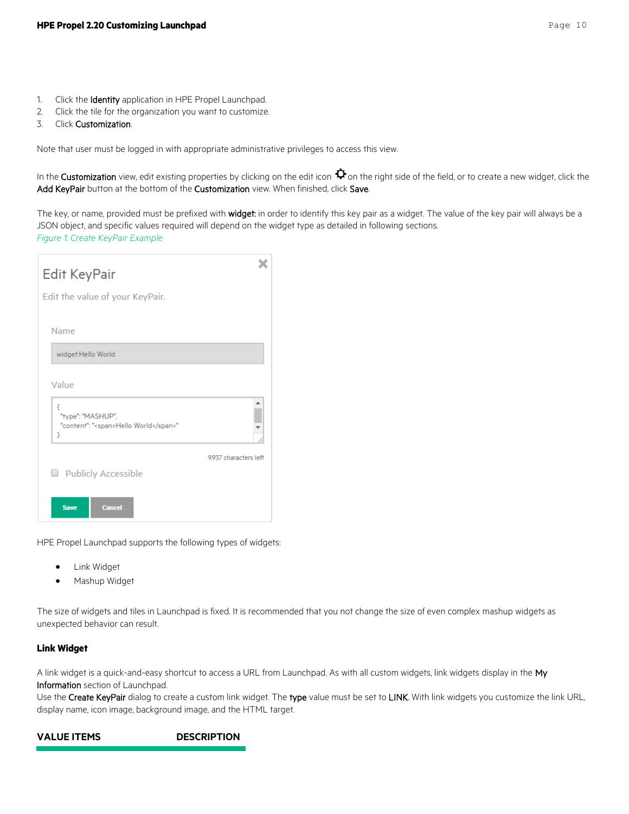- 1. Click the Identity application in HPE Propel Launchpad.
- 2. Click the tile for the organization you want to customize.
- 3. Click Customization.

Note that user must be logged in with appropriate administrative privileges to access this view.

In the **Customization** view, edit existing properties by clicking on the edit icon  $\Phi$  on the right side of the field, or to create a new widget, click the Add KeyPair button at the bottom of the Customization view. When finished, click Save.

The key, or name, provided must be prefixed with widget: in order to identify this key pair as a widget. The value of the key pair will always be a JSON object, and specific values required will depend on the widget type as detailed in following sections. *Figure 1: Create KeyPair Example*

| Edit KeyPair<br>Edit the value of your KeyPair.                        |                       |
|------------------------------------------------------------------------|-----------------------|
| Name                                                                   |                       |
| widget:Hello World                                                     |                       |
| Value                                                                  |                       |
| €<br>"type": "MASHUP",<br>"content": " <span>Hello World</span> "<br>J |                       |
| Publicly Accessible<br>U                                               | 9.937 characters left |
| <b>Save</b><br><b>Cancel</b>                                           |                       |

HPE Propel Launchp[ad supports the following types of widgets:](#page-10-0)

- [Link Widget](#page-9-0)
- **•** [Mashup Widget](#page-10-0)

The size of widgets and tiles in Launchpad is fixed. It is recommended that you not change the size of even complex mashup widgets as unexpected behavior can result.

#### <span id="page-9-0"></span>**Link Widget**

A link widget is a quick-and-easy shortcut to access a URL from Launchpad. As with all custom widgets, link widgets display in the My Information section of Launchpad.

Use the Create KeyPair dialog to create a custom link widget. The type value must be set to LINK. With link widgets you customize the link URL, display name, icon image, background image, and the HTML target.

```
VALUE ITEMS DESCRIPTION
```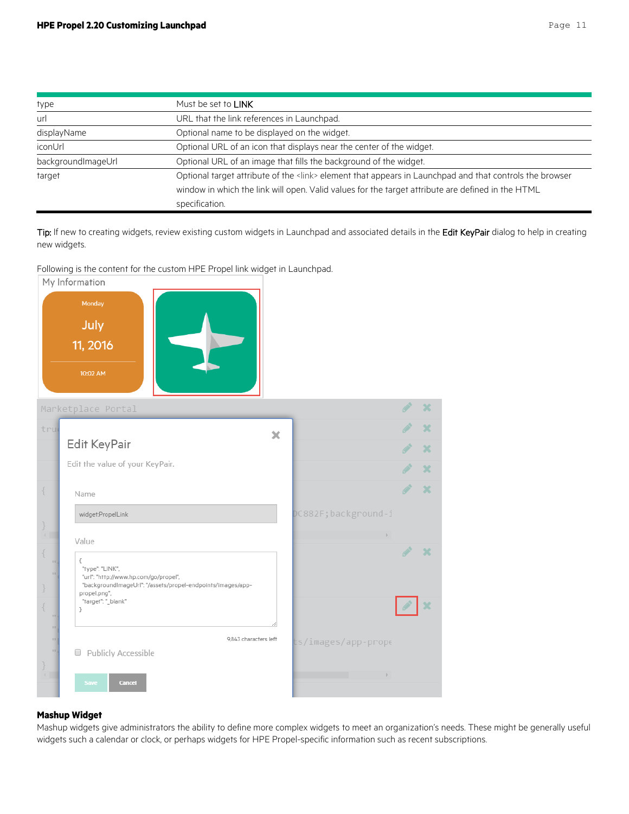| type               | Must be set to LINK                                                                                      |
|--------------------|----------------------------------------------------------------------------------------------------------|
| url                | URL that the link references in Launchpad.                                                               |
| displayName        | Optional name to be displayed on the widget.                                                             |
| iconUrl            | Optional URL of an icon that displays near the center of the widget.                                     |
| backgroundImageUrl | Optional URL of an image that fills the background of the widget.                                        |
| target             | Optional target attribute of the <link/> element that appears in Launchpad and that controls the browser |
|                    | window in which the link will open. Valid values for the target attribute are defined in the HTML        |
|                    | specification.                                                                                           |

Tip: If new to creating widgets, review existing custom widgets in Launchpad and associated details in the Edit KeyPair dialog to help in creating new widgets.

Following is the content for the custom HPE Propel link widget in Launchpad.



#### <span id="page-10-0"></span>**Mashup Widget**

Mashup widgets give administrators the ability to define more complex widgets to meet an organization's needs. These might be generally useful widgets such a calendar or clock, or perhaps widgets for HPE Propel-specific information such as recent subscriptions.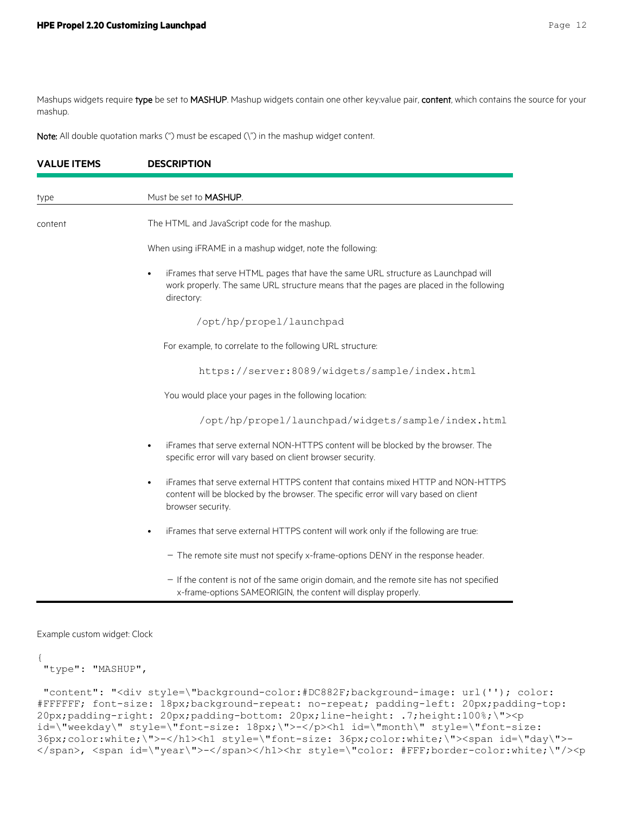Mashups widgets require type be set to MASHUP. Mashup widgets contain one other key:value pair, content, which contains the source for your mashup.

Note: All double quotation marks (") must be escaped (\") in the mashup widget content.

| <b>VALUE ITEMS</b> | <b>DESCRIPTION</b>                                                                                                                                                                                         |
|--------------------|------------------------------------------------------------------------------------------------------------------------------------------------------------------------------------------------------------|
| type               | Must be set to <b>MASHUP</b> .                                                                                                                                                                             |
| content            | The HTML and JavaScript code for the mashup.                                                                                                                                                               |
|                    | When using iFRAME in a mashup widget, note the following:                                                                                                                                                  |
|                    | iFrames that serve HTML pages that have the same URL structure as Launchpad will<br>work properly. The same URL structure means that the pages are placed in the following<br>directory:                   |
|                    | /opt/hp/propel/launchpad                                                                                                                                                                                   |
|                    | For example, to correlate to the following URL structure:                                                                                                                                                  |
|                    | https://server:8089/widgets/sample/index.html                                                                                                                                                              |
|                    | You would place your pages in the following location:                                                                                                                                                      |
|                    | /opt/hp/propel/launchpad/widgets/sample/index.html                                                                                                                                                         |
|                    | iFrames that serve external NON-HTTPS content will be blocked by the browser. The<br>٠<br>specific error will vary based on client browser security.                                                       |
|                    | iFrames that serve external HTTPS content that contains mixed HTTP and NON-HTTPS<br>$\bullet$<br>content will be blocked by the browser. The specific error will vary based on client<br>browser security. |
|                    | iFrames that serve external HTTPS content will work only if the following are true:<br>$\bullet$                                                                                                           |
|                    | - The remote site must not specify x-frame-options DENY in the response header.                                                                                                                            |
|                    | - If the content is not of the same origin domain, and the remote site has not specified<br>x-frame-options SAMEORIGIN, the content will display properly.                                                 |

Example custom widget: Clock

```
{
"type": "MASHUP",
```

```
"content": "<div style=\"background-color:#DC882F;background-image: url(''); color: 
#FFFFFF; font-size: 18px;background-repeat: no-repeat; padding-left: 20px;padding-top: 
20px;padding-right: 20px;padding-bottom: 20px;line-height: .7;height:100%;\"><p 
id=\"weekday\" style=\"font-size: 18px;\">-</p><h1 id=\"month\" style=\"font-size:
36px;color:white;\">-</h1><h1 style=\"font-size: 36px;color:white;\"><span id=\"day\">-
</span>, <span id=\"year\">-</span></h1><hr style=\"color: #FFF;border-color:white;\"/><p
```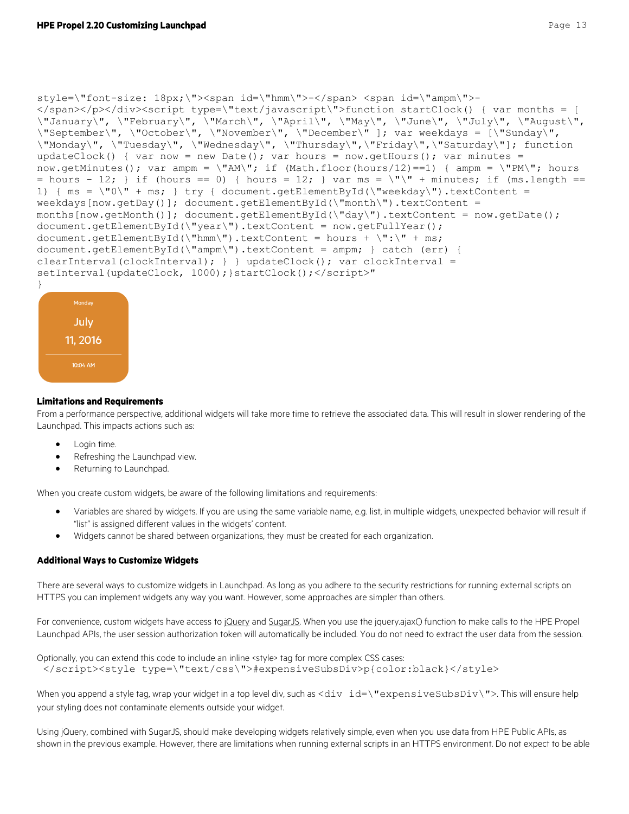```
style=\"font-size: 18px;\"><span id=\"hmm\">-</span> <span id=\"ampm\">-
</span></p></div><script type=\"text/javascript\">function startClock() { var months = [ 
\"January\", \"February\", \"March\", \"April\", \"May\", \"June\", \"July\", \"August\", 
\"September\", \"October\", \"November\", \"December\" ]; var weekdays = [\"Sunday\", 
\"Monday\", \"Tuesday\", \"Wednesday\", \"Thursday\",\"Friday\",\"Saturday\"]; function 
updateClock() { var now = new Date(); var hours = now.getHours(); var minutes =
now.getMinutes(); var ampm = \MAM\"; if (Math.floor(hours/12)==1) { ampm = \MPM\"; hours
= hours - 12; } if (hours == 0) { hours = 12; } var ms = \Upsilon \Upsilon + minutes; if (ms.length ==
1) { ms = \Psi\ + ms; } try { document.getElementById(\"weekday\").textContent =
```

```
weekdays[now.getDay()]; document.getElementById(\"month\").textContent = 
months[now.getMonth()]; document.getElementById(\"day\").textContent = now.getDate();
document.getElementById(\"year\").textContent = now.getFullYear(); 
document.getElementById(\"hmm\").textContent = hours + \":\" + ms;
```

```
document.getElementById(\"ampm\").textContent = ampm; } catch (err) { 
clearInterval(clockInterval); } } updateClock(); var clockInterval =
```
setInterval(updateClock, 1000); } startClock(); </script>"



#### **Limitations and Requirements**

From a performance perspective, additional widgets will take more time to retrieve the associated data. This will result in slower rendering of the Launchpad. This impacts actions such as:

- Login time.
- Refreshing the Launchpad view.
- Returning to Launchpad.

When you create custom widgets, be aware of the following limitations and requirements:

- Variables are shared by widgets. If you are using the same variable name, e.g. list, in multiple widgets, unexpected behavior will result if "list" is assigned different values in the widgets' content.
- Widgets cannot be shared between organizations, they must be created for each organization.

#### **Additional Ways to Customize Widgets**

There are several ways to customize widgets in Launchpad. As long as you adhere to the security restrictions for running external scripts on HTTPS you can implement widgets any way you want. However, some approaches are simpler than others.

For convenience, custom widgets have access t[o jQuery](http://api.jquery.com/) an[d SugarJS.](http://sugarjs.com/api) When you use the jquery.ajax() function to make calls to the HPE Propel Launchpad APIs, the user session authorization token will automatically be included. You do not need to extract the user data from the session.

```
Optionally, you can extend this code to include an inline <style> tag for more complex CSS cases:
 </script><style type=\"text/css\">#expensiveSubsDiv>p{color:black}</style>
```
When you append a style tag, wrap your widget in a top level div, such as <div id=\"expensiveSubsDiv\">. This will ensure help your styling does not contaminate elements outside your widget.

Using jQuery, combined with SugarJS, should make developing widgets relatively simple, even when you use data from HPE Public APIs, as shown in the previous example. However, there are limitations when running external scripts in an HTTPS environment. Do not expect to be able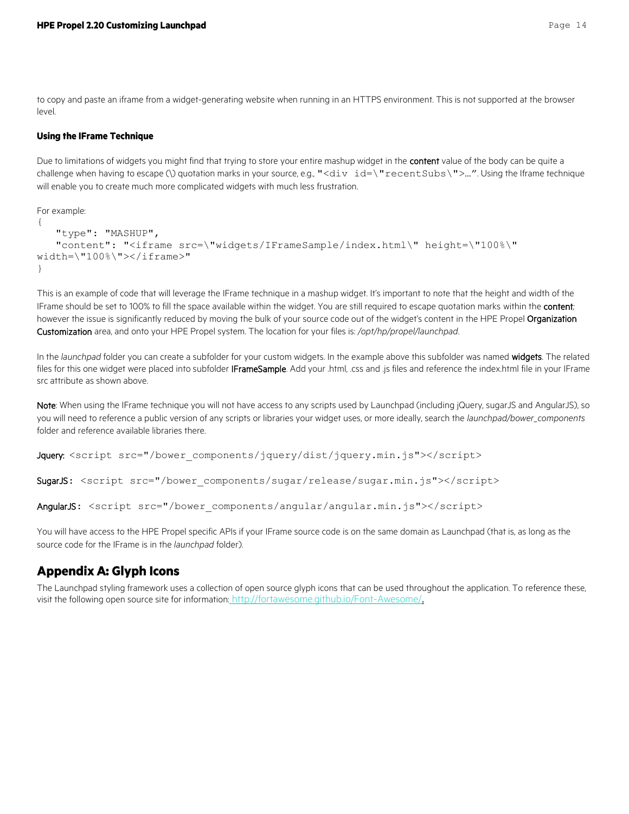to copy and paste an iframe from a widget-generating website when running in an HTTPS environment. This is not supported at the browser level.

#### **Using the IFrame Technique**

Due to limitations of widgets you might find that trying to store your entire mashup widget in the content value of the body can be quite a challenge when having to escape (\) quotation marks in your source, e.g., "<div id=\"recentSubs\">...". Using the Iframe technique will enable you to create much more complicated widgets with much less frustration.

For example:

```
{
    "type": "MASHUP",
    "content": "<iframe src=\"widgets/IFrameSample/index.html\" height=\"100%\" 
width=\"100%\"></iframe>"
}
```
This is an example of code that will leverage the IFrame technique in a mashup widget. It's important to note that the height and width of the IFrame should be set to 100% to fill the space available within the widget. You are still required to escape quotation marks within the content*;*  however the issue is significantly reduced by moving the bulk of your source code out of the widget's content in the HPE Propel Organization Customization area, and onto your HPE Propel system. The location for your files is: */opt/hp/propel/launchpad*.

In the *launchpad* folder you can create a subfolder for your custom widgets. In the example above this subfolder was named widgets. The related files for this one widget were placed into subfolder IFrameSample. Add your .html, .css and .js files and reference the index.html file in your IFrame src attribute as shown above.

Note: When using the IFrame technique you will not have access to any scripts used by Launchpad (including jQuery, sugarJS and AngularJS), so you will need to reference a public version of any scripts or libraries your widget uses, or more ideally, search the *launchpad/bower\_components* folder and reference available libraries there.

Jquery: <script src="/bower components/jquery/dist/jquery.min.js"></script>

SugarJS: <script src="/bower components/sugar/release/sugar.min.js"></script>

AngularJS: <script src="/bower components/angular/angular.min.js"></script>

You will have access to the HPE Propel specific APIs if your IFrame source code is on the same domain as Launchpad (that is, as long as the source code for the IFrame is in the *launchpad* folder).

### <span id="page-13-0"></span>**Appendix A: Glyph Icons**

The Launchpad styling framework uses a collection of open source glyph icons that can be used throughout the application. To reference these, visit the following open source site for information: <http://fortawesome.github.io/Font-Awesome/>.